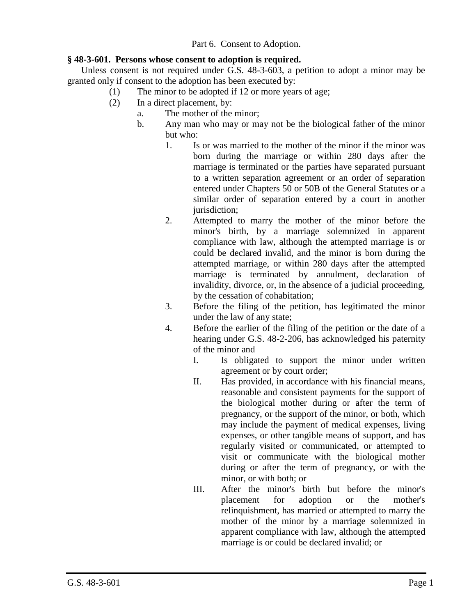Part 6. Consent to Adoption.

## **§ 48-3-601. Persons whose consent to adoption is required.**

Unless consent is not required under G.S. 48-3-603, a petition to adopt a minor may be granted only if consent to the adoption has been executed by:

- (1) The minor to be adopted if 12 or more years of age;
- (2) In a direct placement, by:
	- a. The mother of the minor;
		- b. Any man who may or may not be the biological father of the minor but who:
			- 1. Is or was married to the mother of the minor if the minor was born during the marriage or within 280 days after the marriage is terminated or the parties have separated pursuant to a written separation agreement or an order of separation entered under Chapters 50 or 50B of the General Statutes or a similar order of separation entered by a court in another jurisdiction:
			- 2. Attempted to marry the mother of the minor before the minor's birth, by a marriage solemnized in apparent compliance with law, although the attempted marriage is or could be declared invalid, and the minor is born during the attempted marriage, or within 280 days after the attempted marriage is terminated by annulment, declaration of invalidity, divorce, or, in the absence of a judicial proceeding, by the cessation of cohabitation;
			- 3. Before the filing of the petition, has legitimated the minor under the law of any state;
			- 4. Before the earlier of the filing of the petition or the date of a hearing under G.S. 48-2-206, has acknowledged his paternity of the minor and
				- I. Is obligated to support the minor under written agreement or by court order;
				- II. Has provided, in accordance with his financial means, reasonable and consistent payments for the support of the biological mother during or after the term of pregnancy, or the support of the minor, or both, which may include the payment of medical expenses, living expenses, or other tangible means of support, and has regularly visited or communicated, or attempted to visit or communicate with the biological mother during or after the term of pregnancy, or with the minor, or with both; or
				- III. After the minor's birth but before the minor's placement for adoption or the mother's relinquishment, has married or attempted to marry the mother of the minor by a marriage solemnized in apparent compliance with law, although the attempted marriage is or could be declared invalid; or